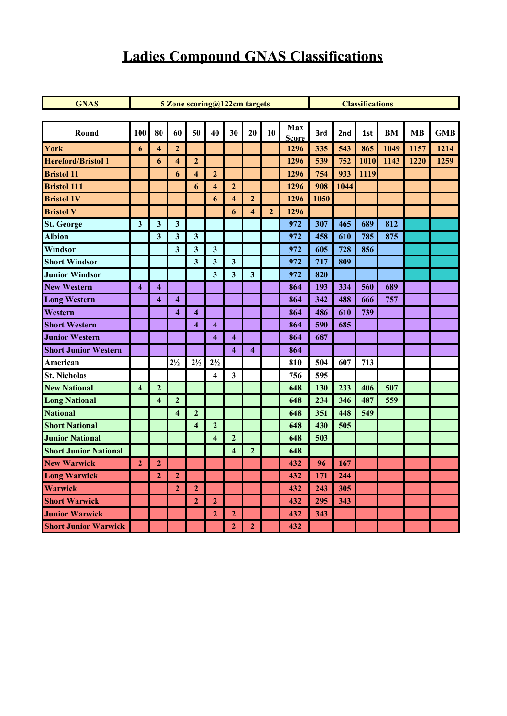# **Ladies Compound GNAS Classifications**

| <b>GNAS</b><br>5 Zone scoring@122cm targets<br><b>Classifications</b><br>Max<br>80<br>10<br>Round<br>100<br>60<br>50<br>40<br>30<br>20<br>3rd<br>2nd<br>BM<br><b>MB</b><br><b>GMB</b><br>1st<br><b>Score</b><br>$\overline{2}$<br>335<br>543<br>865<br>1049<br>1157<br>1214<br>$\overline{\bf{4}}$<br>1296<br>6<br><b>Hereford/Bristol 1</b><br>$\boldsymbol{2}$<br>1296<br>539<br>752<br>1010<br>1143<br>1220<br>1259<br>6<br>4<br>754<br>933<br>1119<br>$\overline{\mathbf{4}}$<br>$\overline{2}$<br>1296<br>6<br>$\overline{2}$<br>1296<br>908<br>1044<br>6<br>$\overline{\bf{4}}$<br>$\mathbf{2}$<br>1296<br>1050<br>$\overline{\bf{4}}$<br>6<br>$\overline{2}$<br>1296<br>$\overline{\mathbf{4}}$<br>6<br>$\mathbf{3}$<br>3<br>$\mathbf{3}$<br>972<br>307<br>465<br>689<br>812<br><b>Albion</b><br>$\mathbf{3}$<br>$\overline{\mathbf{3}}$<br>610<br>785<br>$\overline{\mathbf{3}}$<br>972<br>458<br>875<br>Windsor<br>3<br>$\mathbf{3}$<br>$\mathbf{3}$<br>972<br>605<br>728<br>856<br>$\overline{\mathbf{3}}$<br>972<br>717<br>809<br>$\mathbf{3}$<br>$\mathbf{3}$<br>$\overline{\mathbf{3}}$<br>$\mathbf{3}$<br>$\overline{\mathbf{3}}$<br>972<br>820<br>$\overline{\mathbf{4}}$<br>864<br>193<br>334<br>560<br>689<br>$\boldsymbol{4}$<br>342<br>488<br>$\overline{\mathbf{4}}$<br>864<br>666<br>757<br>$\overline{\mathbf{4}}$<br>486<br>$\overline{\mathbf{4}}$<br>$\overline{\mathbf{4}}$<br>610<br>739<br>864<br><b>Short Western</b><br>590<br>685<br>$\overline{\mathbf{4}}$<br>$\overline{\mathbf{4}}$<br>864<br>687<br>$\overline{\mathbf{4}}$<br>$\overline{\mathbf{4}}$<br>864<br>$\overline{\mathbf{4}}$<br>$\overline{\mathbf{4}}$<br>864<br>$2\frac{1}{2}$<br>$2\frac{1}{2}$<br>$2\frac{1}{2}$<br>810<br>504<br>607<br>713<br>American<br>595<br>$\overline{\mathbf{4}}$<br>$\mathbf{3}$<br>756<br>$\mathbf{2}$<br>648<br>130<br>233<br>406<br>507<br>$\overline{\mathbf{4}}$<br>$\overline{2}$<br>234<br>346<br>487<br>559<br>648<br>$\overline{\bf{4}}$<br>$\overline{2}$<br>351<br>448<br>549<br>$\overline{\mathbf{4}}$<br>648<br>648<br>430<br>505<br>$\overline{\mathbf{4}}$<br>$\mathbf{2}$<br>$\overline{2}$<br>$\overline{\mathbf{4}}$<br>648<br>503<br>$\overline{2}$<br>648<br>$\overline{\mathbf{4}}$<br>$\overline{2}$<br>432<br>96<br>167<br>$\mathbf{2}$<br>$\overline{2}$<br>$\overline{2}$<br>432<br>171<br>244<br><b>Warwick</b><br>305<br>$\overline{2}$<br>$\boldsymbol{2}$<br>432<br>243<br>$\overline{2}$<br>432<br>295<br>$\overline{2}$<br>343<br>$\mathbf{2}$<br>$\mathbf{2}$<br>432<br>343<br>$\overline{2}$<br>$\mathbf{2}$<br>432 |                              |  |  |  |  |  |  |  |  |  |  |  |  |
|-------------------------------------------------------------------------------------------------------------------------------------------------------------------------------------------------------------------------------------------------------------------------------------------------------------------------------------------------------------------------------------------------------------------------------------------------------------------------------------------------------------------------------------------------------------------------------------------------------------------------------------------------------------------------------------------------------------------------------------------------------------------------------------------------------------------------------------------------------------------------------------------------------------------------------------------------------------------------------------------------------------------------------------------------------------------------------------------------------------------------------------------------------------------------------------------------------------------------------------------------------------------------------------------------------------------------------------------------------------------------------------------------------------------------------------------------------------------------------------------------------------------------------------------------------------------------------------------------------------------------------------------------------------------------------------------------------------------------------------------------------------------------------------------------------------------------------------------------------------------------------------------------------------------------------------------------------------------------------------------------------------------------------------------------------------------------------------------------------------------------------------------------------------------------------------------------------------------------------------------------------------------------------------------------------------------------------------------------------------------------------------------------------------------------------------------------------------------------------------------------------------------------------------------------------------------------------------|------------------------------|--|--|--|--|--|--|--|--|--|--|--|--|
|                                                                                                                                                                                                                                                                                                                                                                                                                                                                                                                                                                                                                                                                                                                                                                                                                                                                                                                                                                                                                                                                                                                                                                                                                                                                                                                                                                                                                                                                                                                                                                                                                                                                                                                                                                                                                                                                                                                                                                                                                                                                                                                                                                                                                                                                                                                                                                                                                                                                                                                                                                                     |                              |  |  |  |  |  |  |  |  |  |  |  |  |
|                                                                                                                                                                                                                                                                                                                                                                                                                                                                                                                                                                                                                                                                                                                                                                                                                                                                                                                                                                                                                                                                                                                                                                                                                                                                                                                                                                                                                                                                                                                                                                                                                                                                                                                                                                                                                                                                                                                                                                                                                                                                                                                                                                                                                                                                                                                                                                                                                                                                                                                                                                                     |                              |  |  |  |  |  |  |  |  |  |  |  |  |
|                                                                                                                                                                                                                                                                                                                                                                                                                                                                                                                                                                                                                                                                                                                                                                                                                                                                                                                                                                                                                                                                                                                                                                                                                                                                                                                                                                                                                                                                                                                                                                                                                                                                                                                                                                                                                                                                                                                                                                                                                                                                                                                                                                                                                                                                                                                                                                                                                                                                                                                                                                                     |                              |  |  |  |  |  |  |  |  |  |  |  |  |
|                                                                                                                                                                                                                                                                                                                                                                                                                                                                                                                                                                                                                                                                                                                                                                                                                                                                                                                                                                                                                                                                                                                                                                                                                                                                                                                                                                                                                                                                                                                                                                                                                                                                                                                                                                                                                                                                                                                                                                                                                                                                                                                                                                                                                                                                                                                                                                                                                                                                                                                                                                                     | York                         |  |  |  |  |  |  |  |  |  |  |  |  |
|                                                                                                                                                                                                                                                                                                                                                                                                                                                                                                                                                                                                                                                                                                                                                                                                                                                                                                                                                                                                                                                                                                                                                                                                                                                                                                                                                                                                                                                                                                                                                                                                                                                                                                                                                                                                                                                                                                                                                                                                                                                                                                                                                                                                                                                                                                                                                                                                                                                                                                                                                                                     |                              |  |  |  |  |  |  |  |  |  |  |  |  |
|                                                                                                                                                                                                                                                                                                                                                                                                                                                                                                                                                                                                                                                                                                                                                                                                                                                                                                                                                                                                                                                                                                                                                                                                                                                                                                                                                                                                                                                                                                                                                                                                                                                                                                                                                                                                                                                                                                                                                                                                                                                                                                                                                                                                                                                                                                                                                                                                                                                                                                                                                                                     | <b>Bristol 11</b>            |  |  |  |  |  |  |  |  |  |  |  |  |
|                                                                                                                                                                                                                                                                                                                                                                                                                                                                                                                                                                                                                                                                                                                                                                                                                                                                                                                                                                                                                                                                                                                                                                                                                                                                                                                                                                                                                                                                                                                                                                                                                                                                                                                                                                                                                                                                                                                                                                                                                                                                                                                                                                                                                                                                                                                                                                                                                                                                                                                                                                                     | <b>Bristol 111</b>           |  |  |  |  |  |  |  |  |  |  |  |  |
|                                                                                                                                                                                                                                                                                                                                                                                                                                                                                                                                                                                                                                                                                                                                                                                                                                                                                                                                                                                                                                                                                                                                                                                                                                                                                                                                                                                                                                                                                                                                                                                                                                                                                                                                                                                                                                                                                                                                                                                                                                                                                                                                                                                                                                                                                                                                                                                                                                                                                                                                                                                     | <b>Bristol 1V</b>            |  |  |  |  |  |  |  |  |  |  |  |  |
|                                                                                                                                                                                                                                                                                                                                                                                                                                                                                                                                                                                                                                                                                                                                                                                                                                                                                                                                                                                                                                                                                                                                                                                                                                                                                                                                                                                                                                                                                                                                                                                                                                                                                                                                                                                                                                                                                                                                                                                                                                                                                                                                                                                                                                                                                                                                                                                                                                                                                                                                                                                     | <b>Bristol V</b>             |  |  |  |  |  |  |  |  |  |  |  |  |
|                                                                                                                                                                                                                                                                                                                                                                                                                                                                                                                                                                                                                                                                                                                                                                                                                                                                                                                                                                                                                                                                                                                                                                                                                                                                                                                                                                                                                                                                                                                                                                                                                                                                                                                                                                                                                                                                                                                                                                                                                                                                                                                                                                                                                                                                                                                                                                                                                                                                                                                                                                                     | <b>St. George</b>            |  |  |  |  |  |  |  |  |  |  |  |  |
|                                                                                                                                                                                                                                                                                                                                                                                                                                                                                                                                                                                                                                                                                                                                                                                                                                                                                                                                                                                                                                                                                                                                                                                                                                                                                                                                                                                                                                                                                                                                                                                                                                                                                                                                                                                                                                                                                                                                                                                                                                                                                                                                                                                                                                                                                                                                                                                                                                                                                                                                                                                     |                              |  |  |  |  |  |  |  |  |  |  |  |  |
|                                                                                                                                                                                                                                                                                                                                                                                                                                                                                                                                                                                                                                                                                                                                                                                                                                                                                                                                                                                                                                                                                                                                                                                                                                                                                                                                                                                                                                                                                                                                                                                                                                                                                                                                                                                                                                                                                                                                                                                                                                                                                                                                                                                                                                                                                                                                                                                                                                                                                                                                                                                     |                              |  |  |  |  |  |  |  |  |  |  |  |  |
|                                                                                                                                                                                                                                                                                                                                                                                                                                                                                                                                                                                                                                                                                                                                                                                                                                                                                                                                                                                                                                                                                                                                                                                                                                                                                                                                                                                                                                                                                                                                                                                                                                                                                                                                                                                                                                                                                                                                                                                                                                                                                                                                                                                                                                                                                                                                                                                                                                                                                                                                                                                     | <b>Short Windsor</b>         |  |  |  |  |  |  |  |  |  |  |  |  |
|                                                                                                                                                                                                                                                                                                                                                                                                                                                                                                                                                                                                                                                                                                                                                                                                                                                                                                                                                                                                                                                                                                                                                                                                                                                                                                                                                                                                                                                                                                                                                                                                                                                                                                                                                                                                                                                                                                                                                                                                                                                                                                                                                                                                                                                                                                                                                                                                                                                                                                                                                                                     | <b>Junior Windsor</b>        |  |  |  |  |  |  |  |  |  |  |  |  |
|                                                                                                                                                                                                                                                                                                                                                                                                                                                                                                                                                                                                                                                                                                                                                                                                                                                                                                                                                                                                                                                                                                                                                                                                                                                                                                                                                                                                                                                                                                                                                                                                                                                                                                                                                                                                                                                                                                                                                                                                                                                                                                                                                                                                                                                                                                                                                                                                                                                                                                                                                                                     | <b>New Western</b>           |  |  |  |  |  |  |  |  |  |  |  |  |
|                                                                                                                                                                                                                                                                                                                                                                                                                                                                                                                                                                                                                                                                                                                                                                                                                                                                                                                                                                                                                                                                                                                                                                                                                                                                                                                                                                                                                                                                                                                                                                                                                                                                                                                                                                                                                                                                                                                                                                                                                                                                                                                                                                                                                                                                                                                                                                                                                                                                                                                                                                                     | <b>Long Western</b>          |  |  |  |  |  |  |  |  |  |  |  |  |
|                                                                                                                                                                                                                                                                                                                                                                                                                                                                                                                                                                                                                                                                                                                                                                                                                                                                                                                                                                                                                                                                                                                                                                                                                                                                                                                                                                                                                                                                                                                                                                                                                                                                                                                                                                                                                                                                                                                                                                                                                                                                                                                                                                                                                                                                                                                                                                                                                                                                                                                                                                                     | Western                      |  |  |  |  |  |  |  |  |  |  |  |  |
|                                                                                                                                                                                                                                                                                                                                                                                                                                                                                                                                                                                                                                                                                                                                                                                                                                                                                                                                                                                                                                                                                                                                                                                                                                                                                                                                                                                                                                                                                                                                                                                                                                                                                                                                                                                                                                                                                                                                                                                                                                                                                                                                                                                                                                                                                                                                                                                                                                                                                                                                                                                     |                              |  |  |  |  |  |  |  |  |  |  |  |  |
|                                                                                                                                                                                                                                                                                                                                                                                                                                                                                                                                                                                                                                                                                                                                                                                                                                                                                                                                                                                                                                                                                                                                                                                                                                                                                                                                                                                                                                                                                                                                                                                                                                                                                                                                                                                                                                                                                                                                                                                                                                                                                                                                                                                                                                                                                                                                                                                                                                                                                                                                                                                     | <b>Junior Western</b>        |  |  |  |  |  |  |  |  |  |  |  |  |
|                                                                                                                                                                                                                                                                                                                                                                                                                                                                                                                                                                                                                                                                                                                                                                                                                                                                                                                                                                                                                                                                                                                                                                                                                                                                                                                                                                                                                                                                                                                                                                                                                                                                                                                                                                                                                                                                                                                                                                                                                                                                                                                                                                                                                                                                                                                                                                                                                                                                                                                                                                                     | <b>Short Junior Western</b>  |  |  |  |  |  |  |  |  |  |  |  |  |
|                                                                                                                                                                                                                                                                                                                                                                                                                                                                                                                                                                                                                                                                                                                                                                                                                                                                                                                                                                                                                                                                                                                                                                                                                                                                                                                                                                                                                                                                                                                                                                                                                                                                                                                                                                                                                                                                                                                                                                                                                                                                                                                                                                                                                                                                                                                                                                                                                                                                                                                                                                                     |                              |  |  |  |  |  |  |  |  |  |  |  |  |
|                                                                                                                                                                                                                                                                                                                                                                                                                                                                                                                                                                                                                                                                                                                                                                                                                                                                                                                                                                                                                                                                                                                                                                                                                                                                                                                                                                                                                                                                                                                                                                                                                                                                                                                                                                                                                                                                                                                                                                                                                                                                                                                                                                                                                                                                                                                                                                                                                                                                                                                                                                                     | <b>St. Nicholas</b>          |  |  |  |  |  |  |  |  |  |  |  |  |
|                                                                                                                                                                                                                                                                                                                                                                                                                                                                                                                                                                                                                                                                                                                                                                                                                                                                                                                                                                                                                                                                                                                                                                                                                                                                                                                                                                                                                                                                                                                                                                                                                                                                                                                                                                                                                                                                                                                                                                                                                                                                                                                                                                                                                                                                                                                                                                                                                                                                                                                                                                                     | <b>New National</b>          |  |  |  |  |  |  |  |  |  |  |  |  |
|                                                                                                                                                                                                                                                                                                                                                                                                                                                                                                                                                                                                                                                                                                                                                                                                                                                                                                                                                                                                                                                                                                                                                                                                                                                                                                                                                                                                                                                                                                                                                                                                                                                                                                                                                                                                                                                                                                                                                                                                                                                                                                                                                                                                                                                                                                                                                                                                                                                                                                                                                                                     | <b>Long National</b>         |  |  |  |  |  |  |  |  |  |  |  |  |
|                                                                                                                                                                                                                                                                                                                                                                                                                                                                                                                                                                                                                                                                                                                                                                                                                                                                                                                                                                                                                                                                                                                                                                                                                                                                                                                                                                                                                                                                                                                                                                                                                                                                                                                                                                                                                                                                                                                                                                                                                                                                                                                                                                                                                                                                                                                                                                                                                                                                                                                                                                                     | <b>National</b>              |  |  |  |  |  |  |  |  |  |  |  |  |
|                                                                                                                                                                                                                                                                                                                                                                                                                                                                                                                                                                                                                                                                                                                                                                                                                                                                                                                                                                                                                                                                                                                                                                                                                                                                                                                                                                                                                                                                                                                                                                                                                                                                                                                                                                                                                                                                                                                                                                                                                                                                                                                                                                                                                                                                                                                                                                                                                                                                                                                                                                                     | <b>Short National</b>        |  |  |  |  |  |  |  |  |  |  |  |  |
|                                                                                                                                                                                                                                                                                                                                                                                                                                                                                                                                                                                                                                                                                                                                                                                                                                                                                                                                                                                                                                                                                                                                                                                                                                                                                                                                                                                                                                                                                                                                                                                                                                                                                                                                                                                                                                                                                                                                                                                                                                                                                                                                                                                                                                                                                                                                                                                                                                                                                                                                                                                     | <b>Junior National</b>       |  |  |  |  |  |  |  |  |  |  |  |  |
|                                                                                                                                                                                                                                                                                                                                                                                                                                                                                                                                                                                                                                                                                                                                                                                                                                                                                                                                                                                                                                                                                                                                                                                                                                                                                                                                                                                                                                                                                                                                                                                                                                                                                                                                                                                                                                                                                                                                                                                                                                                                                                                                                                                                                                                                                                                                                                                                                                                                                                                                                                                     | <b>Short Junior National</b> |  |  |  |  |  |  |  |  |  |  |  |  |
|                                                                                                                                                                                                                                                                                                                                                                                                                                                                                                                                                                                                                                                                                                                                                                                                                                                                                                                                                                                                                                                                                                                                                                                                                                                                                                                                                                                                                                                                                                                                                                                                                                                                                                                                                                                                                                                                                                                                                                                                                                                                                                                                                                                                                                                                                                                                                                                                                                                                                                                                                                                     | <b>New Warwick</b>           |  |  |  |  |  |  |  |  |  |  |  |  |
|                                                                                                                                                                                                                                                                                                                                                                                                                                                                                                                                                                                                                                                                                                                                                                                                                                                                                                                                                                                                                                                                                                                                                                                                                                                                                                                                                                                                                                                                                                                                                                                                                                                                                                                                                                                                                                                                                                                                                                                                                                                                                                                                                                                                                                                                                                                                                                                                                                                                                                                                                                                     | <b>Long Warwick</b>          |  |  |  |  |  |  |  |  |  |  |  |  |
|                                                                                                                                                                                                                                                                                                                                                                                                                                                                                                                                                                                                                                                                                                                                                                                                                                                                                                                                                                                                                                                                                                                                                                                                                                                                                                                                                                                                                                                                                                                                                                                                                                                                                                                                                                                                                                                                                                                                                                                                                                                                                                                                                                                                                                                                                                                                                                                                                                                                                                                                                                                     |                              |  |  |  |  |  |  |  |  |  |  |  |  |
|                                                                                                                                                                                                                                                                                                                                                                                                                                                                                                                                                                                                                                                                                                                                                                                                                                                                                                                                                                                                                                                                                                                                                                                                                                                                                                                                                                                                                                                                                                                                                                                                                                                                                                                                                                                                                                                                                                                                                                                                                                                                                                                                                                                                                                                                                                                                                                                                                                                                                                                                                                                     | <b>Short Warwick</b>         |  |  |  |  |  |  |  |  |  |  |  |  |
|                                                                                                                                                                                                                                                                                                                                                                                                                                                                                                                                                                                                                                                                                                                                                                                                                                                                                                                                                                                                                                                                                                                                                                                                                                                                                                                                                                                                                                                                                                                                                                                                                                                                                                                                                                                                                                                                                                                                                                                                                                                                                                                                                                                                                                                                                                                                                                                                                                                                                                                                                                                     | <b>Junior Warwick</b>        |  |  |  |  |  |  |  |  |  |  |  |  |
|                                                                                                                                                                                                                                                                                                                                                                                                                                                                                                                                                                                                                                                                                                                                                                                                                                                                                                                                                                                                                                                                                                                                                                                                                                                                                                                                                                                                                                                                                                                                                                                                                                                                                                                                                                                                                                                                                                                                                                                                                                                                                                                                                                                                                                                                                                                                                                                                                                                                                                                                                                                     | <b>Short Junior Warwick</b>  |  |  |  |  |  |  |  |  |  |  |  |  |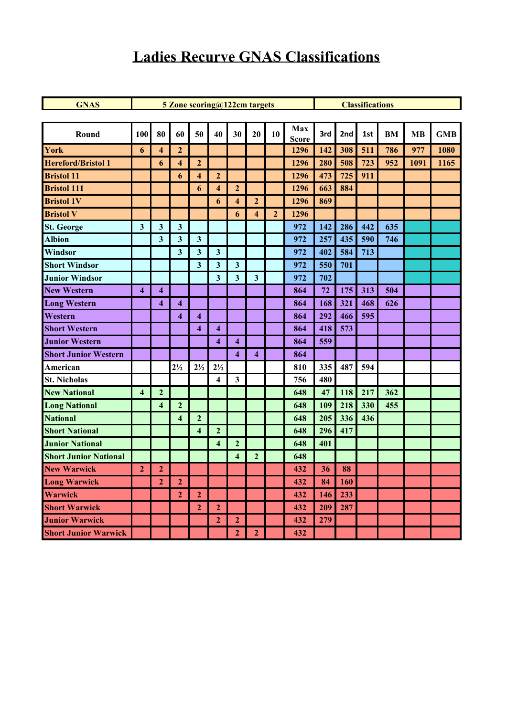#### **Ladies Recurve GNAS Classifications**

| <b>GNAS</b>                  |                         |                         | 5 Zone scoring@122cm targets |                         |                         |                         | <b>Classifications</b>  |                |                     |     |     |     |           |           |            |
|------------------------------|-------------------------|-------------------------|------------------------------|-------------------------|-------------------------|-------------------------|-------------------------|----------------|---------------------|-----|-----|-----|-----------|-----------|------------|
|                              |                         |                         |                              |                         |                         |                         |                         |                |                     |     |     |     |           |           |            |
| Round                        | 100                     | 80                      | 60                           | 50                      | 40                      | 30                      | 20                      | 10             | Max<br><b>Score</b> | 3rd | 2nd | 1st | <b>BM</b> | <b>MB</b> | <b>GMB</b> |
| York                         | 6                       | $\overline{\mathbf{4}}$ | $\overline{2}$               |                         |                         |                         |                         |                | 1296                | 142 | 308 | 511 | 786       | 977       | 1080       |
| <b>Hereford/Bristol 1</b>    |                         | 6                       | $\overline{\mathbf{4}}$      | $\overline{2}$          |                         |                         |                         |                | 1296                | 280 | 508 | 723 | 952       | 1091      | 1165       |
| <b>Bristol 11</b>            |                         |                         | 6                            | $\overline{\mathbf{4}}$ | $\mathbf{2}$            |                         |                         |                | 1296                | 473 | 725 | 911 |           |           |            |
| <b>Bristol 111</b>           |                         |                         |                              | 6                       | $\overline{\mathbf{4}}$ | $\mathbf{2}$            |                         |                | 1296                | 663 | 884 |     |           |           |            |
| <b>Bristol 1V</b>            |                         |                         |                              |                         | 6                       | $\overline{\mathbf{4}}$ | $\overline{2}$          |                | 1296                | 869 |     |     |           |           |            |
| <b>Bristol V</b>             |                         |                         |                              |                         |                         | 6                       | $\overline{\mathbf{4}}$ | $\overline{2}$ | 1296                |     |     |     |           |           |            |
| <b>St. George</b>            | 3                       | $\mathbf{3}$            | $\mathbf{3}$                 |                         |                         |                         |                         |                | 972                 | 142 | 286 | 442 | 635       |           |            |
| <b>Albion</b>                |                         | $\overline{\mathbf{3}}$ | 3                            | $\overline{\mathbf{3}}$ |                         |                         |                         |                | 972                 | 257 | 435 | 590 | 746       |           |            |
| Windsor                      |                         |                         | 3                            | $\mathbf{3}$            | $\mathbf{3}$            |                         |                         |                | 972                 | 402 | 584 | 713 |           |           |            |
| <b>Short Windsor</b>         |                         |                         |                              | $\overline{\mathbf{3}}$ | 3                       | 3                       |                         |                | 972                 | 550 | 701 |     |           |           |            |
| <b>Junior Windsor</b>        |                         |                         |                              |                         | $\mathbf{3}$            | $\overline{\mathbf{3}}$ | $\overline{\mathbf{3}}$ |                | 972                 | 702 |     |     |           |           |            |
| <b>New Western</b>           | $\overline{\mathbf{4}}$ | $\overline{\mathbf{4}}$ |                              |                         |                         |                         |                         |                | 864                 | 72  | 175 | 313 | 504       |           |            |
| <b>Long Western</b>          |                         | $\overline{\mathbf{4}}$ | $\overline{\mathbf{4}}$      |                         |                         |                         |                         |                | 864                 | 168 | 321 | 468 | 626       |           |            |
| Western                      |                         |                         | $\overline{\mathbf{4}}$      | $\overline{\mathbf{4}}$ |                         |                         |                         |                | 864                 | 292 | 466 | 595 |           |           |            |
| <b>Short Western</b>         |                         |                         |                              | $\overline{\mathbf{4}}$ | 4                       |                         |                         |                | 864                 | 418 | 573 |     |           |           |            |
| <b>Junior Western</b>        |                         |                         |                              |                         | $\overline{\mathbf{4}}$ | $\overline{\mathbf{4}}$ |                         |                | 864                 | 559 |     |     |           |           |            |
| <b>Short Junior Western</b>  |                         |                         |                              |                         |                         | $\overline{\mathbf{4}}$ | $\overline{\mathbf{4}}$ |                | 864                 |     |     |     |           |           |            |
| American                     |                         |                         | $2\frac{1}{2}$               | $2\frac{1}{2}$          | $2\frac{1}{2}$          |                         |                         |                | 810                 | 335 | 487 | 594 |           |           |            |
| <b>St. Nicholas</b>          |                         |                         |                              |                         | 4                       | 3                       |                         |                | 756                 | 480 |     |     |           |           |            |
| <b>New National</b>          | $\overline{\mathbf{4}}$ | $\overline{2}$          |                              |                         |                         |                         |                         |                | 648                 | 47  | 118 | 217 | 362       |           |            |
| <b>Long National</b>         |                         | $\overline{\mathbf{4}}$ | $\mathbf{2}$                 |                         |                         |                         |                         |                | 648                 | 109 | 218 | 330 | 455       |           |            |
| <b>National</b>              |                         |                         | $\overline{\mathbf{4}}$      | $\boldsymbol{2}$        |                         |                         |                         |                | 648                 | 205 | 336 | 436 |           |           |            |
| <b>Short National</b>        |                         |                         |                              | $\overline{\mathbf{4}}$ | $\overline{2}$          |                         |                         |                | 648                 | 296 | 417 |     |           |           |            |
| <b>Junior National</b>       |                         |                         |                              |                         | $\overline{\mathbf{4}}$ | $\overline{2}$          |                         |                | 648                 | 401 |     |     |           |           |            |
| <b>Short Junior National</b> |                         |                         |                              |                         |                         | $\overline{\mathbf{4}}$ | $\mathbf{2}$            |                | 648                 |     |     |     |           |           |            |
| <b>New Warwick</b>           | $\overline{2}$          | $\overline{2}$          |                              |                         |                         |                         |                         |                | 432                 | 36  | 88  |     |           |           |            |
| <b>Long Warwick</b>          |                         | $\overline{2}$          | $\overline{2}$               |                         |                         |                         |                         |                | 432                 | 84  | 160 |     |           |           |            |
| <b>Warwick</b>               |                         |                         | $\overline{2}$               | $\mathbf{2}$            |                         |                         |                         |                | 432                 | 146 | 233 |     |           |           |            |
| <b>Short Warwick</b>         |                         |                         |                              | $\overline{2}$          | $\mathbf{2}$            |                         |                         |                | 432                 | 209 | 287 |     |           |           |            |
| <b>Junior Warwick</b>        |                         |                         |                              |                         | $\overline{2}$          | $\boldsymbol{2}$        |                         |                | 432                 | 279 |     |     |           |           |            |
| <b>Short Junior Warwick</b>  |                         |                         |                              |                         |                         | $\overline{2}$          | $\overline{2}$          |                | 432                 |     |     |     |           |           |            |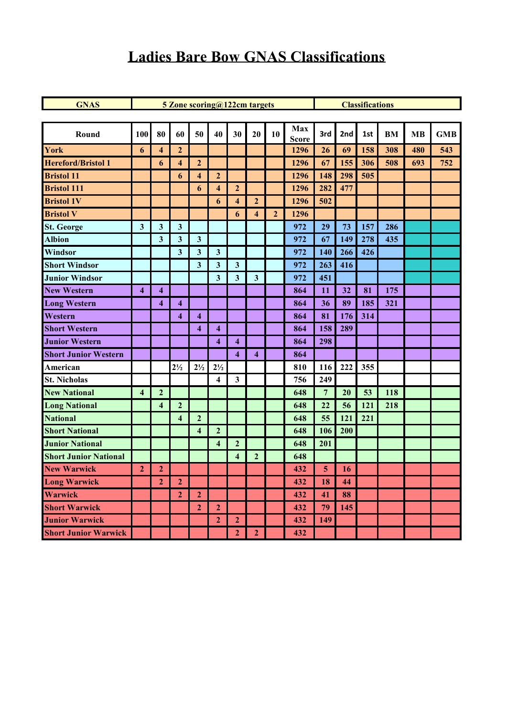### **Ladies Bare Bow GNAS Classifications**

| <b>GNAS</b>                  |                         |                         | 5 Zone scoring@122cm targets |                         |                         |                         | <b>Classifications</b>  |              |                     |                 |     |     |           |           |            |
|------------------------------|-------------------------|-------------------------|------------------------------|-------------------------|-------------------------|-------------------------|-------------------------|--------------|---------------------|-----------------|-----|-----|-----------|-----------|------------|
|                              |                         |                         |                              |                         |                         |                         |                         |              |                     |                 |     |     |           |           |            |
| Round                        | 100                     | 80                      | 60                           | 50                      | 40                      | 30                      | 20                      | 10           | Max<br><b>Score</b> | 3rd             | 2nd | 1st | <b>BM</b> | <b>MB</b> | <b>GMB</b> |
| York                         | 6                       | $\overline{\mathbf{4}}$ | $\mathbf{2}$                 |                         |                         |                         |                         |              | 1296                | 26              | 69  | 158 | 308       | 480       | 543        |
| <b>Hereford/Bristol 1</b>    |                         | 6                       | $\overline{\mathbf{4}}$      | $\overline{2}$          |                         |                         |                         |              | 1296                | 67              | 155 | 306 | 508       | 693       | 752        |
| <b>Bristol 11</b>            |                         |                         | 6                            | $\overline{\mathbf{4}}$ | $\overline{2}$          |                         |                         |              | 1296                | 148             | 298 | 505 |           |           |            |
| <b>Bristol 111</b>           |                         |                         |                              | 6                       | $\overline{\mathbf{4}}$ | $\overline{2}$          |                         |              | 1296                | 282             | 477 |     |           |           |            |
| <b>Bristol 1V</b>            |                         |                         |                              |                         | 6                       | $\overline{\mathbf{4}}$ | $\overline{2}$          |              | 1296                | 502             |     |     |           |           |            |
| <b>Bristol V</b>             |                         |                         |                              |                         |                         | 6                       | $\overline{\mathbf{4}}$ | $\mathbf{2}$ | 1296                |                 |     |     |           |           |            |
| <b>St. George</b>            | 3                       | $\mathbf{3}$            | $\mathbf{3}$                 |                         |                         |                         |                         |              | 972                 | 29              | 73  | 157 | 286       |           |            |
| <b>Albion</b>                |                         | $\mathbf{3}$            | $\mathbf{3}$                 | $\mathbf{3}$            |                         |                         |                         |              | 972                 | 67              | 149 | 278 | 435       |           |            |
| Windsor                      |                         |                         | $\overline{\mathbf{3}}$      | $\mathbf{3}$            | $\mathbf{3}$            |                         |                         |              | 972                 | 140             | 266 | 426 |           |           |            |
| <b>Short Windsor</b>         |                         |                         |                              | $\mathbf{3}$            | $\mathbf{3}$            | $\mathbf{3}$            |                         |              | 972                 | 263             | 416 |     |           |           |            |
| <b>Junior Windsor</b>        |                         |                         |                              |                         | 3                       | $\overline{\mathbf{3}}$ | $\overline{\mathbf{3}}$ |              | 972                 | 451             |     |     |           |           |            |
| <b>New Western</b>           | $\overline{\mathbf{4}}$ | $\overline{\mathbf{4}}$ |                              |                         |                         |                         |                         |              | 864                 | 11              | 32  | 81  | 175       |           |            |
| <b>Long Western</b>          |                         | $\overline{\mathbf{4}}$ | $\overline{\mathbf{4}}$      |                         |                         |                         |                         |              | 864                 | 36              | 89  | 185 | 321       |           |            |
| Western                      |                         |                         | $\overline{\mathbf{4}}$      | $\overline{\mathbf{4}}$ |                         |                         |                         |              | 864                 | 81              | 176 | 314 |           |           |            |
| <b>Short Western</b>         |                         |                         |                              | $\boldsymbol{4}$        | $\overline{\mathbf{4}}$ |                         |                         |              | 864                 | 158             | 289 |     |           |           |            |
| <b>Junior Western</b>        |                         |                         |                              |                         | $\overline{\mathbf{4}}$ | $\overline{\mathbf{4}}$ |                         |              | 864                 | 298             |     |     |           |           |            |
| <b>Short Junior Western</b>  |                         |                         |                              |                         |                         | $\overline{\mathbf{4}}$ | $\overline{\mathbf{4}}$ |              | 864                 |                 |     |     |           |           |            |
| American                     |                         |                         | $2\frac{1}{2}$               | $2\frac{1}{2}$          | $2\frac{1}{2}$          |                         |                         |              | 810                 | 116             | 222 | 355 |           |           |            |
| <b>St. Nicholas</b>          |                         |                         |                              |                         | $\overline{\mathbf{4}}$ | $\mathbf{3}$            |                         |              | 756                 | 249             |     |     |           |           |            |
| <b>New National</b>          | $\overline{\mathbf{4}}$ | $\overline{2}$          |                              |                         |                         |                         |                         |              | 648                 | $\overline{7}$  | 20  | 53  | 118       |           |            |
| <b>Long National</b>         |                         | $\overline{\mathbf{4}}$ | $\overline{2}$               |                         |                         |                         |                         |              | 648                 | 22              | 56  | 121 | 218       |           |            |
| <b>National</b>              |                         |                         | $\overline{\mathbf{4}}$      | $\mathbf{2}$            |                         |                         |                         |              | 648                 | 55              | 121 | 221 |           |           |            |
| <b>Short National</b>        |                         |                         |                              | $\overline{\mathbf{4}}$ | $\overline{2}$          |                         |                         |              | 648                 | 106             | 200 |     |           |           |            |
| <b>Junior National</b>       |                         |                         |                              |                         | $\overline{\mathbf{4}}$ | $\overline{2}$          |                         |              | 648                 | 201             |     |     |           |           |            |
| <b>Short Junior National</b> |                         |                         |                              |                         |                         | $\overline{\mathbf{4}}$ | $\overline{2}$          |              | 648                 |                 |     |     |           |           |            |
| <b>New Warwick</b>           | $\overline{2}$          | $\overline{2}$          |                              |                         |                         |                         |                         |              | 432                 | $5\phantom{.0}$ | 16  |     |           |           |            |
| <b>Long Warwick</b>          |                         | $\overline{2}$          | $\mathbf{2}$                 |                         |                         |                         |                         |              | 432                 | 18              | 44  |     |           |           |            |
| Warwick                      |                         |                         | $\mathbf{2}$                 | $\overline{2}$          |                         |                         |                         |              | 432                 | 41              | 88  |     |           |           |            |
| <b>Short Warwick</b>         |                         |                         |                              | $\overline{2}$          | $\mathbf{2}$            |                         |                         |              | 432                 | 79              | 145 |     |           |           |            |
| <b>Junior Warwick</b>        |                         |                         |                              |                         | $\overline{2}$          | $\overline{2}$          |                         |              | 432                 | 149             |     |     |           |           |            |
| <b>Short Junior Warwick</b>  |                         |                         |                              |                         |                         | $\overline{2}$          | $\overline{2}$          |              | 432                 |                 |     |     |           |           |            |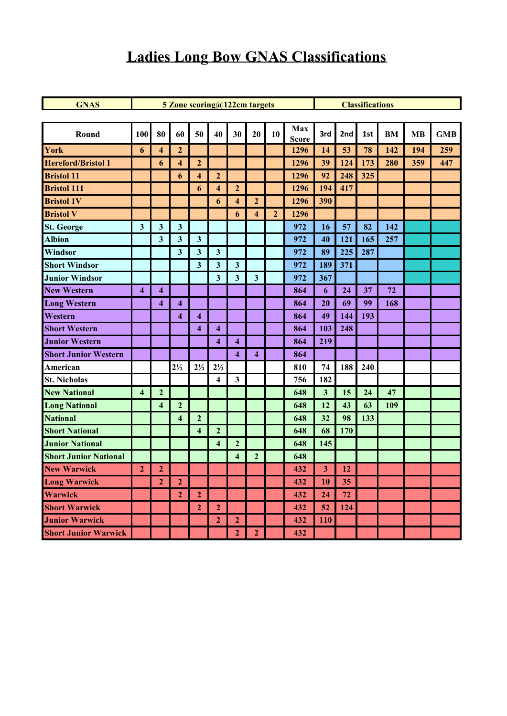# **Ladies Long Bow GNAS Classifications**

| <b>GNAS</b>                  |                         |                         | 5 Zone scoring@122cm targets |                         |                         |                         | <b>Classifications</b>  |                |                     |                         |           |     |           |           |            |
|------------------------------|-------------------------|-------------------------|------------------------------|-------------------------|-------------------------|-------------------------|-------------------------|----------------|---------------------|-------------------------|-----------|-----|-----------|-----------|------------|
|                              |                         |                         |                              |                         |                         |                         |                         |                |                     |                         |           |     |           |           |            |
| Round                        | 100                     | 80                      | 60                           | 50                      | 40                      | 30                      | 20                      | 10             | Max<br><b>Score</b> | 3rd                     | 2nd       | 1st | <b>BM</b> | <b>MB</b> | <b>GMB</b> |
| York                         | 6                       | $\overline{\mathbf{4}}$ | $\mathbf{2}$                 |                         |                         |                         |                         |                | 1296                | 14                      | 53        | 78  | 142       | 194       | 259        |
| <b>Hereford/Bristol 1</b>    |                         | 6                       | $\overline{\mathbf{4}}$      | $\overline{2}$          |                         |                         |                         |                | 1296                | 39                      | 124       | 173 | 280       | 359       | 447        |
| <b>Bristol 11</b>            |                         |                         | 6                            | $\overline{\mathbf{4}}$ | $\mathbf{2}$            |                         |                         |                | 1296                | 92                      | 248       | 325 |           |           |            |
| <b>Bristol 111</b>           |                         |                         |                              | 6                       | $\overline{\mathbf{4}}$ | $\overline{2}$          |                         |                | 1296                | 194                     | 417       |     |           |           |            |
| <b>Bristol 1V</b>            |                         |                         |                              |                         | 6                       | $\overline{\mathbf{4}}$ | $\overline{2}$          |                | 1296                | 390                     |           |     |           |           |            |
| <b>Bristol V</b>             |                         |                         |                              |                         |                         | 6                       | $\overline{\mathbf{4}}$ | $\overline{2}$ | 1296                |                         |           |     |           |           |            |
| <b>St. George</b>            | $\mathbf{3}$            | $\mathbf{3}$            | $\mathbf{3}$                 |                         |                         |                         |                         |                | 972                 | 16                      | 57        | 82  | 142       |           |            |
| <b>Albion</b>                |                         | $\mathbf{3}$            | $\mathbf{3}$                 | $\mathbf{3}$            |                         |                         |                         |                | 972                 | 40                      | 121       | 165 | 257       |           |            |
| Windsor                      |                         |                         | $\overline{\mathbf{3}}$      | $\mathbf{3}$            | $\mathbf{3}$            |                         |                         |                | 972                 | 89                      | 225       | 287 |           |           |            |
| <b>Short Windsor</b>         |                         |                         |                              | $\mathbf{3}$            | $\mathbf{3}$            | $\mathbf{3}$            |                         |                | 972                 | 189                     | 371       |     |           |           |            |
| <b>Junior Windsor</b>        |                         |                         |                              |                         | $\overline{\mathbf{3}}$ | $\overline{\mathbf{3}}$ | $\overline{\mathbf{3}}$ |                | 972                 | 367                     |           |     |           |           |            |
| <b>New Western</b>           | $\overline{\mathbf{4}}$ | $\overline{\mathbf{4}}$ |                              |                         |                         |                         |                         |                | 864                 | 6                       | 24        | 37  | 72        |           |            |
| <b>Long Western</b>          |                         | $\overline{\mathbf{4}}$ | $\overline{\mathbf{4}}$      |                         |                         |                         |                         |                | 864                 | 20                      | 69        | 99  | 168       |           |            |
| Western                      |                         |                         | $\overline{\mathbf{4}}$      | $\overline{\mathbf{4}}$ |                         |                         |                         |                | 864                 | 49                      | 144       | 193 |           |           |            |
| <b>Short Western</b>         |                         |                         |                              | $\overline{\mathbf{4}}$ | $\overline{\mathbf{4}}$ |                         |                         |                | 864                 | 103                     | 248       |     |           |           |            |
| <b>Junior Western</b>        |                         |                         |                              |                         | $\boldsymbol{4}$        | $\overline{\mathbf{4}}$ |                         |                | 864                 | 219                     |           |     |           |           |            |
| <b>Short Junior Western</b>  |                         |                         |                              |                         |                         | $\overline{\mathbf{4}}$ | $\overline{\mathbf{4}}$ |                | 864                 |                         |           |     |           |           |            |
| American                     |                         |                         | $2\frac{1}{2}$               | $2\frac{1}{2}$          | $2\frac{1}{2}$          |                         |                         |                | 810                 | 74                      | 188       | 240 |           |           |            |
| <b>St. Nicholas</b>          |                         |                         |                              |                         | $\overline{\mathbf{4}}$ | $\mathbf{3}$            |                         |                | 756                 | 182                     |           |     |           |           |            |
| <b>New National</b>          | $\overline{\mathbf{4}}$ | $\overline{2}$          |                              |                         |                         |                         |                         |                | 648                 | $\mathbf{3}$            | 15        | 24  | 47        |           |            |
| <b>Long National</b>         |                         | $\overline{\mathbf{4}}$ | $\overline{2}$               |                         |                         |                         |                         |                | 648                 | 12                      | 43        | 63  | 109       |           |            |
| <b>National</b>              |                         |                         | $\overline{\mathbf{4}}$      | $\mathbf{2}$            |                         |                         |                         |                | 648                 | 32                      | 98        | 133 |           |           |            |
| <b>Short National</b>        |                         |                         |                              | $\overline{\mathbf{4}}$ | $\overline{2}$          |                         |                         |                | 648                 | 68                      | 170       |     |           |           |            |
| <b>Junior National</b>       |                         |                         |                              |                         | $\overline{\mathbf{4}}$ | $\overline{2}$          |                         |                | 648                 | 145                     |           |     |           |           |            |
| <b>Short Junior National</b> |                         |                         |                              |                         |                         | $\overline{\mathbf{4}}$ | $\overline{2}$          |                | 648                 |                         |           |     |           |           |            |
| <b>New Warwick</b>           | $\overline{2}$          | $\overline{2}$          |                              |                         |                         |                         |                         |                | 432                 | $\overline{\mathbf{3}}$ | <b>12</b> |     |           |           |            |
| <b>Long Warwick</b>          |                         | $\overline{2}$          | $\mathbf{2}$                 |                         |                         |                         |                         |                | 432                 | <b>10</b>               | 35        |     |           |           |            |
| <b>Warwick</b>               |                         |                         | $\boldsymbol{2}$             | $\overline{2}$          |                         |                         |                         |                | 432                 | 24                      | 72        |     |           |           |            |
| <b>Short Warwick</b>         |                         |                         |                              | $\overline{2}$          | $\mathbf{2}$            |                         |                         |                | 432                 | 52                      | 124       |     |           |           |            |
| <b>Junior Warwick</b>        |                         |                         |                              |                         | $\overline{2}$          | $\overline{2}$          |                         |                | 432                 | 110                     |           |     |           |           |            |
| <b>Short Junior Warwick</b>  |                         |                         |                              |                         |                         | 2 <sub>1</sub>          | $\overline{2}$          |                | 432                 |                         |           |     |           |           |            |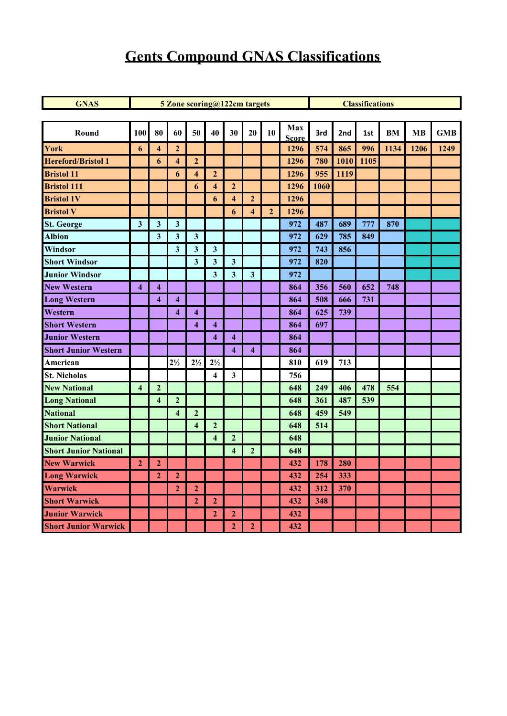# **Gents Compound GNAS Classifications**

| <b>GNAS</b>                  |                         |                         |                         | 5 Zone scoring@122cm targets |                         |                         | <b>Classifications</b>  |                |                     |      |      |      |      |           |            |
|------------------------------|-------------------------|-------------------------|-------------------------|------------------------------|-------------------------|-------------------------|-------------------------|----------------|---------------------|------|------|------|------|-----------|------------|
|                              |                         |                         |                         |                              |                         |                         |                         |                |                     |      |      |      |      |           |            |
| Round                        | 100                     | 80                      | 60                      | 50                           | 40                      | 30                      | 20                      | 10             | Max<br><b>Score</b> | 3rd  | 2nd  | 1st  | BM   | <b>MB</b> | <b>GMB</b> |
| York                         | 6                       | $\overline{\bf{4}}$     | $\overline{2}$          |                              |                         |                         |                         |                | 1296                | 574  | 865  | 996  | 1134 | 1206      | 1249       |
| <b>Hereford/Bristol 1</b>    |                         | 6                       | 4                       | $\mathbf{2}$                 |                         |                         |                         |                | 1296                | 780  | 1010 | 1105 |      |           |            |
| <b>Bristol 11</b>            |                         |                         | 6                       | $\overline{4}$               | $\mathbf{2}$            |                         |                         |                | 1296                | 955  | 1119 |      |      |           |            |
| <b>Bristol 111</b>           |                         |                         |                         | 6                            | $\overline{\mathbf{4}}$ | $\mathbf{2}$            |                         |                | 1296                | 1060 |      |      |      |           |            |
| <b>Bristol 1V</b>            |                         |                         |                         |                              | 6                       | $\overline{4}$          | $\overline{2}$          |                | 1296                |      |      |      |      |           |            |
| <b>Bristol V</b>             |                         |                         |                         |                              |                         | 6                       | $\overline{4}$          | $\overline{2}$ | 1296                |      |      |      |      |           |            |
| <b>St. George</b>            | $\mathbf{3}$            | $\mathbf{3}$            | $\mathbf{3}$            |                              |                         |                         |                         |                | 972                 | 487  | 689  | 777  | 870  |           |            |
| <b>Albion</b>                |                         | $\overline{\mathbf{3}}$ | $\mathbf{3}$            | $\overline{\mathbf{3}}$      |                         |                         |                         |                | 972                 | 629  | 785  | 849  |      |           |            |
| Windsor                      |                         |                         | $\mathbf{3}$            | $\mathbf{3}$                 | $\overline{\mathbf{3}}$ |                         |                         |                | 972                 | 743  | 856  |      |      |           |            |
| <b>Short Windsor</b>         |                         |                         |                         | $\overline{\mathbf{3}}$      | $\mathbf{3}$            | 3                       |                         |                | 972                 | 820  |      |      |      |           |            |
| <b>Junior Windsor</b>        |                         |                         |                         |                              | $\overline{\mathbf{3}}$ | $\mathbf{3}$            | 3 <sup>1</sup>          |                | 972                 |      |      |      |      |           |            |
| <b>New Western</b>           | $\overline{\mathbf{4}}$ | $\overline{\mathbf{4}}$ |                         |                              |                         |                         |                         |                | 864                 | 356  | 560  | 652  | 748  |           |            |
| <b>Long Western</b>          |                         | $\overline{\mathbf{4}}$ | $\overline{\mathbf{4}}$ |                              |                         |                         |                         |                | 864                 | 508  | 666  | 731  |      |           |            |
| Western                      |                         |                         | $\overline{\mathbf{4}}$ | $\overline{\mathbf{4}}$      |                         |                         |                         |                | 864                 | 625  | 739  |      |      |           |            |
| <b>Short Western</b>         |                         |                         |                         | $\overline{\mathbf{4}}$      | $\overline{\mathbf{4}}$ |                         |                         |                | 864                 | 697  |      |      |      |           |            |
| <b>Junior Western</b>        |                         |                         |                         |                              | $\overline{\mathbf{4}}$ | $\overline{\bf{4}}$     |                         |                | 864                 |      |      |      |      |           |            |
| <b>Short Junior Western</b>  |                         |                         |                         |                              |                         | $\overline{\mathbf{4}}$ | $\overline{\mathbf{4}}$ |                | 864                 |      |      |      |      |           |            |
| American                     |                         |                         | $2\frac{1}{2}$          | $2\frac{1}{2}$               | $2\frac{1}{2}$          |                         |                         |                | 810                 | 619  | 713  |      |      |           |            |
| <b>St. Nicholas</b>          |                         |                         |                         |                              | $\overline{\mathbf{4}}$ | $\mathbf{3}$            |                         |                | 756                 |      |      |      |      |           |            |
| <b>New National</b>          | $\overline{\mathbf{4}}$ | $\overline{2}$          |                         |                              |                         |                         |                         |                | 648                 | 249  | 406  | 478  | 554  |           |            |
| <b>Long National</b>         |                         | $\overline{\mathbf{4}}$ | $\overline{2}$          |                              |                         |                         |                         |                | 648                 | 361  | 487  | 539  |      |           |            |
| <b>National</b>              |                         |                         | $\overline{\bf{4}}$     | $\mathbf{2}$                 |                         |                         |                         |                | 648                 | 459  | 549  |      |      |           |            |
| <b>Short National</b>        |                         |                         |                         | $\overline{\mathbf{4}}$      | $\mathbf{2}$            |                         |                         |                | 648                 | 514  |      |      |      |           |            |
| <b>Junior National</b>       |                         |                         |                         |                              | $\overline{\mathbf{4}}$ | $\overline{2}$          |                         |                | 648                 |      |      |      |      |           |            |
| <b>Short Junior National</b> |                         |                         |                         |                              |                         | $\overline{4}$          | $\overline{2}$          |                | 648                 |      |      |      |      |           |            |
| <b>New Warwick</b>           | $\overline{2}$          | $\mathbf{2}$            |                         |                              |                         |                         |                         |                | 432                 | 178  | 280  |      |      |           |            |
| <b>Long Warwick</b>          |                         | $\mathbf{2}$            | $\mathbf{2}$            |                              |                         |                         |                         |                | 432                 | 254  | 333  |      |      |           |            |
| Warwick                      |                         |                         | $\overline{2}$          | $\mathbf{2}$                 |                         |                         |                         |                | 432                 | 312  | 370  |      |      |           |            |
| <b>Short Warwick</b>         |                         |                         |                         | $\mathbf{2}$                 | $\overline{2}$          |                         |                         |                | 432                 | 348  |      |      |      |           |            |
| <b>Junior Warwick</b>        |                         |                         |                         |                              | $\mathbf{2}$            | $\mathbf{2}$            |                         |                | 432                 |      |      |      |      |           |            |
| <b>Short Junior Warwick</b>  |                         |                         |                         |                              |                         | $\overline{2}$          | $\overline{2}$          |                | 432                 |      |      |      |      |           |            |
|                              |                         |                         |                         |                              |                         |                         |                         |                |                     |      |      |      |      |           |            |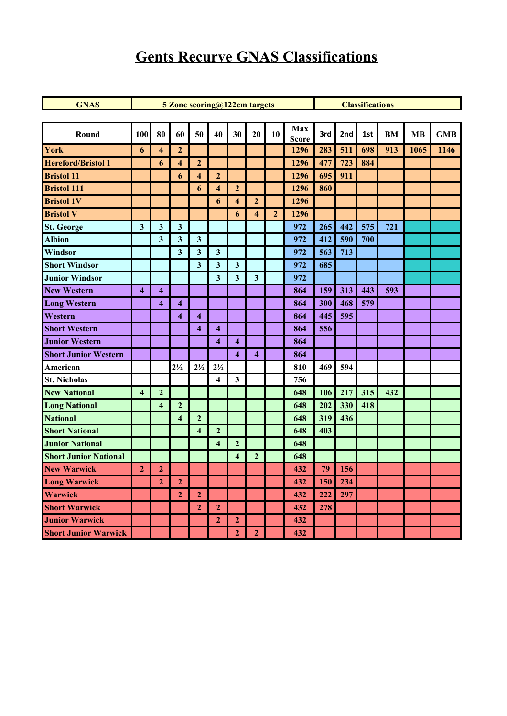### **Gents Recurve GNAS Classifications**

| <b>GNAS</b>                  |                         |                         | 5 Zone scoring@122cm targets |                         |                         |                         | <b>Classifications</b>  |                |                     |     |     |     |           |           |            |
|------------------------------|-------------------------|-------------------------|------------------------------|-------------------------|-------------------------|-------------------------|-------------------------|----------------|---------------------|-----|-----|-----|-----------|-----------|------------|
|                              |                         |                         |                              |                         |                         |                         |                         |                |                     |     |     |     |           |           |            |
| Round                        | 100                     | 80                      | 60                           | 50                      | 40                      | 30                      | 20                      | 10             | Max<br><b>Score</b> | 3rd | 2nd | 1st | <b>BM</b> | <b>MB</b> | <b>GMB</b> |
| York                         | 6                       | $\overline{\mathbf{4}}$ | $\overline{2}$               |                         |                         |                         |                         |                | 1296                | 283 | 511 | 698 | 913       | 1065      | 1146       |
| <b>Hereford/Bristol 1</b>    |                         | 6                       | $\overline{\mathbf{4}}$      | $\overline{2}$          |                         |                         |                         |                | 1296                | 477 | 723 | 884 |           |           |            |
| <b>Bristol 11</b>            |                         |                         | 6                            | $\overline{\mathbf{4}}$ | $\mathbf{2}$            |                         |                         |                | 1296                | 695 | 911 |     |           |           |            |
| <b>Bristol 111</b>           |                         |                         |                              | 6                       | $\overline{\mathbf{4}}$ | $\mathbf{2}$            |                         |                | 1296                | 860 |     |     |           |           |            |
| <b>Bristol 1V</b>            |                         |                         |                              |                         | 6                       | $\overline{\mathbf{4}}$ | $\overline{2}$          |                | 1296                |     |     |     |           |           |            |
| <b>Bristol V</b>             |                         |                         |                              |                         |                         | 6                       | $\overline{\mathbf{4}}$ | $\overline{2}$ | 1296                |     |     |     |           |           |            |
| <b>St. George</b>            | 3                       | $\mathbf{3}$            | $\mathbf{3}$                 |                         |                         |                         |                         |                | 972                 | 265 | 442 | 575 | 721       |           |            |
| <b>Albion</b>                |                         | $\overline{\mathbf{3}}$ | 3                            | $\mathbf{3}$            |                         |                         |                         |                | 972                 | 412 | 590 | 700 |           |           |            |
| Windsor                      |                         |                         | 3                            | $\mathbf{3}$            | $\mathbf{3}$            |                         |                         |                | 972                 | 563 | 713 |     |           |           |            |
| <b>Short Windsor</b>         |                         |                         |                              | $\overline{\mathbf{3}}$ | $\overline{\mathbf{3}}$ | 3 <sup>1</sup>          |                         |                | 972                 | 685 |     |     |           |           |            |
| <b>Junior Windsor</b>        |                         |                         |                              |                         | $\mathbf{3}$            | $\overline{\mathbf{3}}$ | $\overline{\mathbf{3}}$ |                | 972                 |     |     |     |           |           |            |
| <b>New Western</b>           | $\overline{\mathbf{4}}$ | $\overline{\mathbf{4}}$ |                              |                         |                         |                         |                         |                | 864                 | 159 | 313 | 443 | 593       |           |            |
| <b>Long Western</b>          |                         | $\overline{\mathbf{4}}$ | $\overline{\mathbf{4}}$      |                         |                         |                         |                         |                | 864                 | 300 | 468 | 579 |           |           |            |
| Western                      |                         |                         | $\overline{\mathbf{4}}$      | $\overline{\mathbf{4}}$ |                         |                         |                         |                | 864                 | 445 | 595 |     |           |           |            |
| <b>Short Western</b>         |                         |                         |                              | $\overline{\mathbf{4}}$ | 4                       |                         |                         |                | 864                 | 556 |     |     |           |           |            |
| <b>Junior Western</b>        |                         |                         |                              |                         | $\overline{\mathbf{4}}$ | $\overline{\mathbf{4}}$ |                         |                | 864                 |     |     |     |           |           |            |
| <b>Short Junior Western</b>  |                         |                         |                              |                         |                         | $\overline{\mathbf{4}}$ | $\overline{\mathbf{4}}$ |                | 864                 |     |     |     |           |           |            |
| American                     |                         |                         | $2\frac{1}{2}$               | $2\frac{1}{2}$          | $2\frac{1}{2}$          |                         |                         |                | 810                 | 469 | 594 |     |           |           |            |
| <b>St. Nicholas</b>          |                         |                         |                              |                         | 4                       | 3                       |                         |                | 756                 |     |     |     |           |           |            |
| <b>New National</b>          | $\overline{\mathbf{4}}$ | $\overline{2}$          |                              |                         |                         |                         |                         |                | 648                 | 106 | 217 | 315 | 432       |           |            |
| <b>Long National</b>         |                         | $\overline{\mathbf{4}}$ | $\overline{2}$               |                         |                         |                         |                         |                | 648                 | 202 | 330 | 418 |           |           |            |
| <b>National</b>              |                         |                         | $\overline{\mathbf{4}}$      | $\boldsymbol{2}$        |                         |                         |                         |                | 648                 | 319 | 436 |     |           |           |            |
| <b>Short National</b>        |                         |                         |                              | $\overline{\mathbf{4}}$ | $\overline{2}$          |                         |                         |                | 648                 | 403 |     |     |           |           |            |
| <b>Junior National</b>       |                         |                         |                              |                         | $\overline{\mathbf{4}}$ | $\overline{2}$          |                         |                | 648                 |     |     |     |           |           |            |
| <b>Short Junior National</b> |                         |                         |                              |                         |                         | $\overline{\mathbf{4}}$ | $\mathbf{2}$            |                | 648                 |     |     |     |           |           |            |
| <b>New Warwick</b>           | $\overline{2}$          | $\overline{2}$          |                              |                         |                         |                         |                         |                | 432                 | 79  | 156 |     |           |           |            |
| <b>Long Warwick</b>          |                         | $\overline{2}$          | $\overline{2}$               |                         |                         |                         |                         |                | 432                 | 150 | 234 |     |           |           |            |
| <b>Warwick</b>               |                         |                         | $\overline{2}$               | $\mathbf{2}$            |                         |                         |                         |                | 432                 | 222 | 297 |     |           |           |            |
| <b>Short Warwick</b>         |                         |                         |                              | $\overline{2}$          | $\mathbf{2}$            |                         |                         |                | 432                 | 278 |     |     |           |           |            |
| <b>Junior Warwick</b>        |                         |                         |                              |                         | $\overline{2}$          | $\boldsymbol{2}$        |                         |                | 432                 |     |     |     |           |           |            |
| <b>Short Junior Warwick</b>  |                         |                         |                              |                         |                         | $\overline{2}$          | $\overline{2}$          |                | 432                 |     |     |     |           |           |            |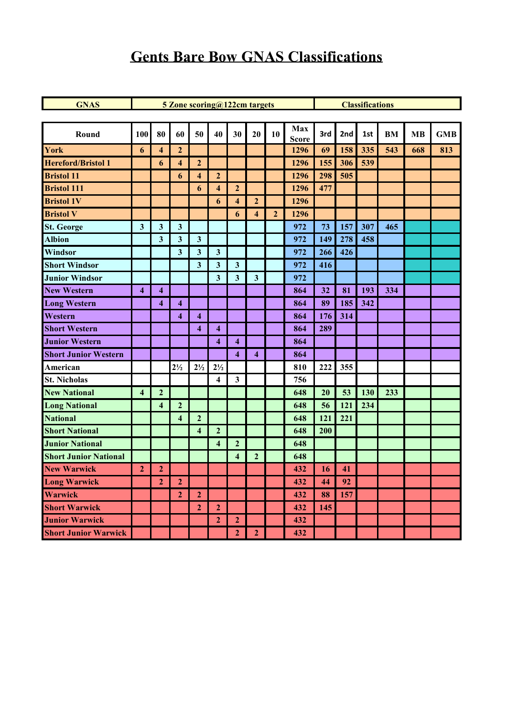### **Gents Bare Bow GNAS Classifications**

| <b>GNAS</b>                  |                         |                         | 5 Zone scoring@122cm targets |                         |                         |                         | <b>Classifications</b>  |                |                     |     |     |     |           |           |            |
|------------------------------|-------------------------|-------------------------|------------------------------|-------------------------|-------------------------|-------------------------|-------------------------|----------------|---------------------|-----|-----|-----|-----------|-----------|------------|
|                              |                         |                         |                              |                         |                         |                         |                         |                |                     |     |     |     |           |           |            |
| Round                        | 100                     | 80                      | 60                           | 50                      | 40                      | 30                      | 20                      | 10             | Max<br><b>Score</b> | 3rd | 2nd | 1st | <b>BM</b> | <b>MB</b> | <b>GMB</b> |
| York                         | 6                       | $\overline{\mathbf{4}}$ | $\overline{2}$               |                         |                         |                         |                         |                | 1296                | 69  | 158 | 335 | 543       | 668       | 813        |
| <b>Hereford/Bristol 1</b>    |                         | 6                       | $\overline{\mathbf{4}}$      | $\mathbf{2}$            |                         |                         |                         |                | 1296                | 155 | 306 | 539 |           |           |            |
| <b>Bristol 11</b>            |                         |                         | 6                            | $\overline{\mathbf{4}}$ | $\overline{2}$          |                         |                         |                | 1296                | 298 | 505 |     |           |           |            |
| <b>Bristol 111</b>           |                         |                         |                              | 6                       | $\overline{\mathbf{4}}$ | $\overline{2}$          |                         |                | 1296                | 477 |     |     |           |           |            |
| <b>Bristol 1V</b>            |                         |                         |                              |                         | 6                       | $\overline{\mathbf{4}}$ | $\overline{2}$          |                | 1296                |     |     |     |           |           |            |
| <b>Bristol V</b>             |                         |                         |                              |                         |                         | 6                       | $\overline{\mathbf{4}}$ | $\overline{2}$ | 1296                |     |     |     |           |           |            |
| <b>St. George</b>            | $\mathbf{3}$            | $\mathbf{3}$            | $\mathbf{3}$                 |                         |                         |                         |                         |                | 972                 | 73  | 157 | 307 | 465       |           |            |
| <b>Albion</b>                |                         | $\overline{\mathbf{3}}$ | $\mathbf{3}$                 | $\mathbf{3}$            |                         |                         |                         |                | 972                 | 149 | 278 | 458 |           |           |            |
| Windsor                      |                         |                         | $\mathbf{3}$                 | $\mathbf{3}$            | $\mathbf{3}$            |                         |                         |                | 972                 | 266 | 426 |     |           |           |            |
| <b>Short Windsor</b>         |                         |                         |                              | $\mathbf{3}$            | $\mathbf{3}$            | $\mathbf{3}$            |                         |                | 972                 | 416 |     |     |           |           |            |
| <b>Junior Windsor</b>        |                         |                         |                              |                         | $\overline{\mathbf{3}}$ | $\overline{\mathbf{3}}$ | $\overline{\mathbf{3}}$ |                | 972                 |     |     |     |           |           |            |
| <b>New Western</b>           | $\overline{\mathbf{4}}$ | $\overline{\mathbf{4}}$ |                              |                         |                         |                         |                         |                | 864                 | 32  | 81  | 193 | 334       |           |            |
| <b>Long Western</b>          |                         | $\overline{\mathbf{4}}$ | $\overline{\mathbf{4}}$      |                         |                         |                         |                         |                | 864                 | 89  | 185 | 342 |           |           |            |
| Western                      |                         |                         | $\overline{\mathbf{4}}$      | $\overline{\mathbf{4}}$ |                         |                         |                         |                | 864                 | 176 | 314 |     |           |           |            |
| <b>Short Western</b>         |                         |                         |                              | $\boldsymbol{4}$        | $\overline{\mathbf{4}}$ |                         |                         |                | 864                 | 289 |     |     |           |           |            |
| <b>Junior Western</b>        |                         |                         |                              |                         | $\overline{\mathbf{4}}$ | $\overline{\mathbf{4}}$ |                         |                | 864                 |     |     |     |           |           |            |
| <b>Short Junior Western</b>  |                         |                         |                              |                         |                         | $\overline{\mathbf{4}}$ | $\overline{\mathbf{4}}$ |                | 864                 |     |     |     |           |           |            |
| American                     |                         |                         | $2\frac{1}{2}$               | $2\frac{1}{2}$          | $2\frac{1}{2}$          |                         |                         |                | 810                 | 222 | 355 |     |           |           |            |
| <b>St. Nicholas</b>          |                         |                         |                              |                         | $\overline{\mathbf{4}}$ | $\mathbf{3}$            |                         |                | 756                 |     |     |     |           |           |            |
| <b>New National</b>          | $\overline{\mathbf{4}}$ | $\overline{2}$          |                              |                         |                         |                         |                         |                | 648                 | 20  | 53  | 130 | 233       |           |            |
| <b>Long National</b>         |                         | $\overline{\mathbf{4}}$ | $\overline{2}$               |                         |                         |                         |                         |                | 648                 | 56  | 121 | 234 |           |           |            |
| <b>National</b>              |                         |                         | $\overline{\mathbf{4}}$      | $\mathbf{2}$            |                         |                         |                         |                | 648                 | 121 | 221 |     |           |           |            |
| <b>Short National</b>        |                         |                         |                              | $\overline{\mathbf{4}}$ | $\overline{2}$          |                         |                         |                | 648                 | 200 |     |     |           |           |            |
| <b>Junior National</b>       |                         |                         |                              |                         | $\overline{\mathbf{4}}$ | $\overline{2}$          |                         |                | 648                 |     |     |     |           |           |            |
| <b>Short Junior National</b> |                         |                         |                              |                         |                         | $\overline{\mathbf{4}}$ | $\overline{2}$          |                | 648                 |     |     |     |           |           |            |
| <b>New Warwick</b>           | $\overline{2}$          | $\overline{2}$          |                              |                         |                         |                         |                         |                | 432                 | 16  | 41  |     |           |           |            |
| <b>Long Warwick</b>          |                         | $\overline{2}$          | $\mathbf{2}$                 |                         |                         |                         |                         |                | 432                 | 44  | 92  |     |           |           |            |
| Warwick                      |                         |                         | $\mathbf{2}$                 | $\overline{2}$          |                         |                         |                         |                | 432                 | 88  | 157 |     |           |           |            |
| <b>Short Warwick</b>         |                         |                         |                              | $\overline{2}$          | $\mathbf{2}$            |                         |                         |                | 432                 | 145 |     |     |           |           |            |
| <b>Junior Warwick</b>        |                         |                         |                              |                         | $\overline{2}$          | $\overline{2}$          |                         |                | 432                 |     |     |     |           |           |            |
| <b>Short Junior Warwick</b>  |                         |                         |                              |                         |                         | 2 <sup>1</sup>          | $\overline{2}$          |                | 432                 |     |     |     |           |           |            |